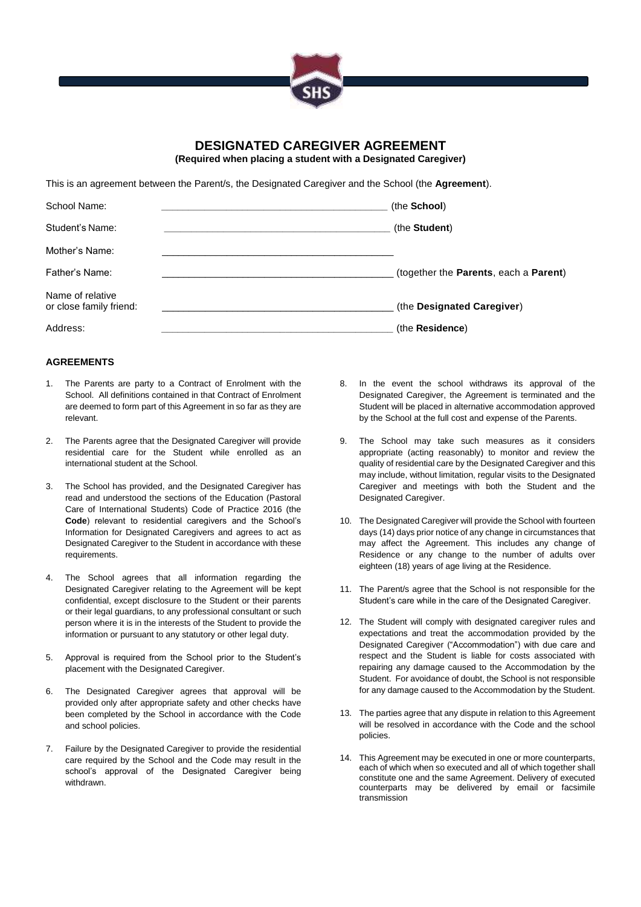

# **DESIGNATED CAREGIVER AGREEMENT**

**(Required when placing a student with a Designated Caregiver)**

This is an agreement between the Parent/s, the Designated Caregiver and the School (the **Agreement**).

| School Name:                                | (the <b>School</b> )                  |
|---------------------------------------------|---------------------------------------|
| Student's Name:                             | (the Student)                         |
| Mother's Name:                              |                                       |
| Father's Name:                              | (together the Parents, each a Parent) |
| Name of relative<br>or close family friend: | (the Designated Caregiver)            |
| Address:                                    | (the Residence)                       |

#### **AGREEMENTS**

- 1. The Parents are party to a Contract of Enrolment with the School. All definitions contained in that Contract of Enrolment are deemed to form part of this Agreement in so far as they are relevant.
- 2. The Parents agree that the Designated Caregiver will provide residential care for the Student while enrolled as an international student at the School.
- 3. The School has provided, and the Designated Caregiver has read and understood the sections of the Education (Pastoral Care of International Students) Code of Practice 2016 (the **Code**) relevant to residential caregivers and the School's Information for Designated Caregivers and agrees to act as Designated Caregiver to the Student in accordance with these requirements.
- 4. The School agrees that all information regarding the Designated Caregiver relating to the Agreement will be kept confidential, except disclosure to the Student or their parents or their legal guardians, to any professional consultant or such person where it is in the interests of the Student to provide the information or pursuant to any statutory or other legal duty.
- 5. Approval is required from the School prior to the Student's placement with the Designated Caregiver.
- 6. The Designated Caregiver agrees that approval will be provided only after appropriate safety and other checks have been completed by the School in accordance with the Code and school policies.
- 7. Failure by the Designated Caregiver to provide the residential care required by the School and the Code may result in the school's approval of the Designated Caregiver being withdrawn.
- 8. In the event the school withdraws its approval of the Designated Caregiver, the Agreement is terminated and the Student will be placed in alternative accommodation approved by the School at the full cost and expense of the Parents.
- 9. The School may take such measures as it considers appropriate (acting reasonably) to monitor and review the quality of residential care by the Designated Caregiver and this may include, without limitation, regular visits to the Designated Caregiver and meetings with both the Student and the Designated Caregiver.
- 10. The Designated Caregiver will provide the School with fourteen days (14) days prior notice of any change in circumstances that may affect the Agreement. This includes any change of Residence or any change to the number of adults over eighteen (18) years of age living at the Residence.
- 11. The Parent/s agree that the School is not responsible for the Student's care while in the care of the Designated Caregiver.
- 12. The Student will comply with designated caregiver rules and expectations and treat the accommodation provided by the Designated Caregiver ("Accommodation") with due care and respect and the Student is liable for costs associated with repairing any damage caused to the Accommodation by the Student. For avoidance of doubt, the School is not responsible for any damage caused to the Accommodation by the Student.
- 13. The parties agree that any dispute in relation to this Agreement will be resolved in accordance with the Code and the school policies.
- 14. This Agreement may be executed in one or more counterparts, each of which when so executed and all of which together shall constitute one and the same Agreement. Delivery of executed counterparts may be delivered by email or facsimile transmission